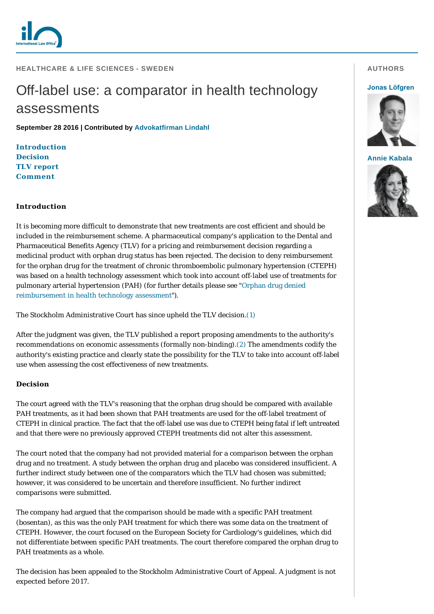

## **HEALTHCARE & LIFE SCIENCES - SWEDEN**

# Off-label use: a comparator in health technology assessments

**September 28 2016 | Contributed by [Advokatfirman Lindahl](http://www.internationallawoffice.com/gesr.ashx?l=7SJ8CN3)**

**[Introduction](#page-0-0) [Decision](#page-0-1) [TLV report](#page-1-0) [Comment](#page-1-1)**

### <span id="page-0-0"></span>**Introduction**

It is becoming more difficult to demonstrate that new treatments are cost efficient and should be included in the reimbursement scheme. A pharmaceutical company's application to the Dental and Pharmaceutical Benefits Agency (TLV) for a pricing and reimbursement decision regarding a medicinal product with orphan drug status has been rejected. The decision to deny reimbursement for the orphan drug for the treatment of chronic thromboembolic pulmonary hypertension (CTEPH) was based on a health technology assessment which took into account off-label use of treatments for [pulmonary arterial hypertension \(PAH\) \(for further details please see "Orphan drug denied](http://www.internationallawoffice.com/gesr.ashx?l=7SJ8CNC)  reimbursement in health technology assessment").

The Stockholm Administrative Court has since upheld the TLV decision.[\(1\)](#page-2-0)

After the judgment was given, the TLV published a report proposing amendments to the authority's recommendations on economic assessments (formally non-binding)[.\(2\)](#page-2-1) The amendments codify the authority's existing practice and clearly state the possibility for the TLV to take into account off-label use when assessing the cost effectiveness of new treatments.

### <span id="page-0-1"></span>**Decision**

The court agreed with the TLV's reasoning that the orphan drug should be compared with available PAH treatments, as it had been shown that PAH treatments are used for the off-label treatment of CTEPH in clinical practice. The fact that the off-label use was due to CTEPH being fatal if left untreated and that there were no previously approved CTEPH treatments did not alter this assessment.

The court noted that the company had not provided material for a comparison between the orphan drug and no treatment. A study between the orphan drug and placebo was considered insufficient. A further indirect study between one of the comparators which the TLV had chosen was submitted; however, it was considered to be uncertain and therefore insufficient. No further indirect comparisons were submitted.

The company had argued that the comparison should be made with a specific PAH treatment (bosentan), as this was the only PAH treatment for which there was some data on the treatment of CTEPH. However, the court focused on the European Society for Cardiology's guidelines, which did not differentiate between specific PAH treatments. The court therefore compared the orphan drug to PAH treatments as a whole.

The decision has been appealed to the Stockholm Administrative Court of Appeal. A judgment is not expected before 2017.

# **AUTHORS**

#### **[Jonas Löfgren](http://www.internationallawoffice.com/gesr.ashx?l=7SJ8CNM)**



**[Annie Kabala](http://www.internationallawoffice.com/gesr.ashx?l=7SJ8CNZ)**

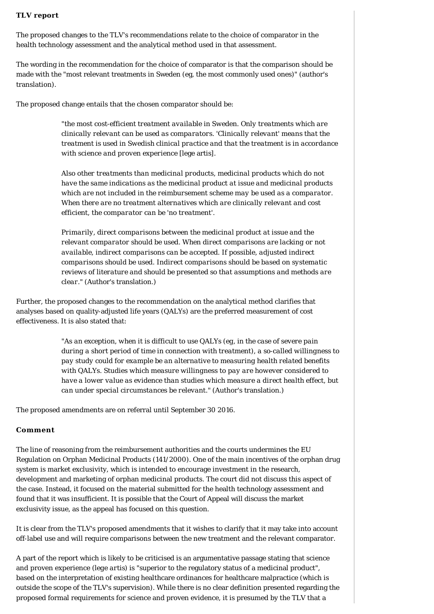# <span id="page-1-0"></span>**TLV report**

The proposed changes to the TLV's recommendations relate to the choice of comparator in the health technology assessment and the analytical method used in that assessment.

The wording in the recommendation for the choice of comparator is that the comparison should be made with the "most relevant treatments in Sweden (eg, the most commonly used ones)" (author's translation).

The proposed change entails that the chosen comparator should be:

*"the most cost-efficient treatment available in Sweden. Only treatments which are clinically relevant can be used as comparators. 'Clinically relevant' means that the treatment is used in Swedish clinical practice and that the treatment is in accordance with science and proven experience [*lege artis*].*

*Also other treatments than medicinal products, medicinal products which do not have the same indications as the medicinal product at issue and medicinal products which are not included in the reimbursement scheme may be used as a comparator. When there are no treatment alternatives which are clinically relevant and cost efficient, the comparator can be 'no treatment'.*

*Primarily, direct comparisons between the medicinal product at issue and the relevant comparator should be used. When direct comparisons are lacking or not available, indirect comparisons can be accepted. If possible, adjusted indirect comparisons should be used. Indirect comparisons should be based on systematic reviews of literature and should be presented so that assumptions and methods are clear."* (Author's translation.)

Further, the proposed changes to the recommendation on the analytical method clarifies that analyses based on quality-adjusted life years (QALYs) are the preferred measurement of cost effectiveness. It is also stated that:

> *"As an exception, when it is difficult to use QALYs (eg, in the case of severe pain during a short period of time in connection with treatment), a so-called willingness to pay study could for example be an alternative to measuring health related benefits with QALYs. Studies which measure willingness to pay are however considered to have a lower value as evidence than studies which measure a direct health effect, but can under special circumstances be relevant."* (Author's translation.)

The proposed amendments are on referral until September 30 2016.

# <span id="page-1-1"></span>**Comment**

The line of reasoning from the reimbursement authorities and the courts undermines the EU Regulation on Orphan Medicinal Products (141/2000). One of the main incentives of the orphan drug system is market exclusivity, which is intended to encourage investment in the research, development and marketing of orphan medicinal products. The court did not discuss this aspect of the case. Instead, it focused on the material submitted for the health technology assessment and found that it was insufficient. It is possible that the Court of Appeal will discuss the market exclusivity issue, as the appeal has focused on this question.

It is clear from the TLV's proposed amendments that it wishes to clarify that it may take into account off-label use and will require comparisons between the new treatment and the relevant comparator.

A part of the report which is likely to be criticised is an argumentative passage stating that science and proven experience (*lege artis*) is "superior to the regulatory status of a medicinal product", based on the interpretation of existing healthcare ordinances for healthcare malpractice (which is outside the scope of the TLV's supervision). While there is no clear definition presented regarding the proposed formal requirements for science and proven evidence, it is presumed by the TLV that a